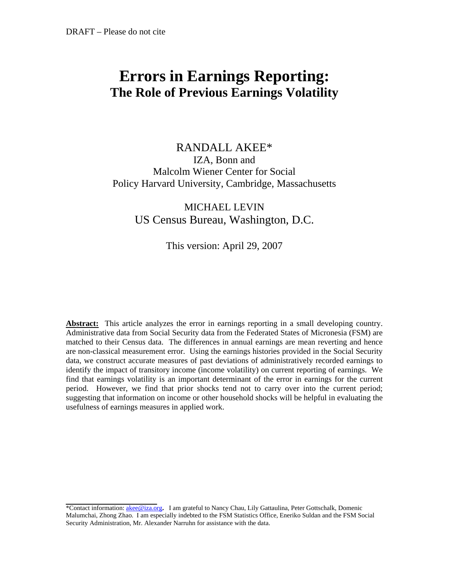# **Errors in Earnings Reporting: The Role of Previous Earnings Volatility**

# RANDALL AKEE\* IZA, Bonn and Malcolm Wiener Center for Social Policy Harvard University, Cambridge, Massachusetts

# MICHAEL LEVIN US Census Bureau, Washington, D.C.

# This version: April 29, 2007

Abstract: This article analyzes the error in earnings reporting in a small developing country. Administrative data from Social Security data from the Federated States of Micronesia (FSM) are matched to their Census data. The differences in annual earnings are mean reverting and hence are non-classical measurement error. Using the earnings histories provided in the Social Security data, we construct accurate measures of past deviations of administratively recorded earnings to identify the impact of transitory income (income volatility) on current reporting of earnings. We find that earnings volatility is an important determinant of the error in earnings for the current period. However, we find that prior shocks tend not to carry over into the current period; suggesting that information on income or other household shocks will be helpful in evaluating the usefulness of earnings measures in applied work.

<sup>\*</sup>Contact information: [akee@iza.org](mailto:akee@fas.harvard.edu)**.** I am grateful to Nancy Chau, Lily Gattaulina, Peter Gottschalk, Domenic Malumchai, Zhong Zhao. I am especially indebted to the FSM Statistics Office, Eneriko Suldan and the FSM Social Security Administration, Mr. Alexander Narruhn for assistance with the data.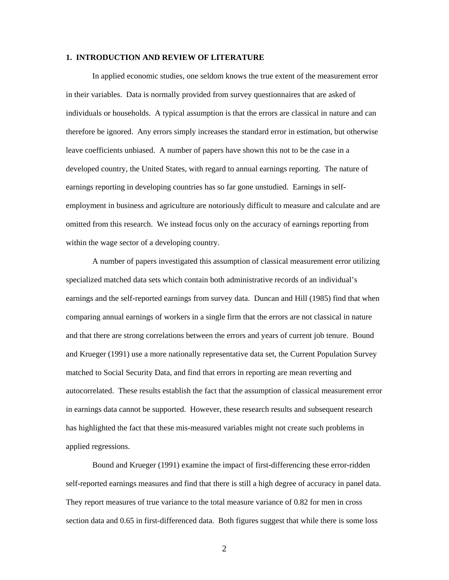#### **1. INTRODUCTION AND REVIEW OF LITERATURE**

In applied economic studies, one seldom knows the true extent of the measurement error in their variables. Data is normally provided from survey questionnaires that are asked of individuals or households. A typical assumption is that the errors are classical in nature and can therefore be ignored. Any errors simply increases the standard error in estimation, but otherwise leave coefficients unbiased. A number of papers have shown this not to be the case in a developed country, the United States, with regard to annual earnings reporting. The nature of earnings reporting in developing countries has so far gone unstudied. Earnings in selfemployment in business and agriculture are notoriously difficult to measure and calculate and are omitted from this research. We instead focus only on the accuracy of earnings reporting from within the wage sector of a developing country.

A number of papers investigated this assumption of classical measurement error utilizing specialized matched data sets which contain both administrative records of an individual's earnings and the self-reported earnings from survey data. Duncan and Hill (1985) find that when comparing annual earnings of workers in a single firm that the errors are not classical in nature and that there are strong correlations between the errors and years of current job tenure. Bound and Krueger (1991) use a more nationally representative data set, the Current Population Survey matched to Social Security Data, and find that errors in reporting are mean reverting and autocorrelated. These results establish the fact that the assumption of classical measurement error in earnings data cannot be supported. However, these research results and subsequent research has highlighted the fact that these mis-measured variables might not create such problems in applied regressions.

Bound and Krueger (1991) examine the impact of first-differencing these error-ridden self-reported earnings measures and find that there is still a high degree of accuracy in panel data. They report measures of true variance to the total measure variance of 0.82 for men in cross section data and 0.65 in first-differenced data. Both figures suggest that while there is some loss

2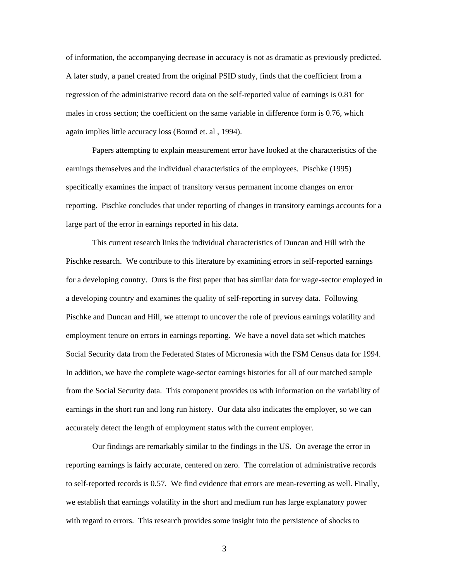of information, the accompanying decrease in accuracy is not as dramatic as previously predicted. A later study, a panel created from the original PSID study, finds that the coefficient from a regression of the administrative record data on the self-reported value of earnings is 0.81 for males in cross section; the coefficient on the same variable in difference form is 0.76, which again implies little accuracy loss (Bound et. al , 1994).

Papers attempting to explain measurement error have looked at the characteristics of the earnings themselves and the individual characteristics of the employees. Pischke (1995) specifically examines the impact of transitory versus permanent income changes on error reporting. Pischke concludes that under reporting of changes in transitory earnings accounts for a large part of the error in earnings reported in his data.

This current research links the individual characteristics of Duncan and Hill with the Pischke research. We contribute to this literature by examining errors in self-reported earnings for a developing country. Ours is the first paper that has similar data for wage-sector employed in a developing country and examines the quality of self-reporting in survey data. Following Pischke and Duncan and Hill, we attempt to uncover the role of previous earnings volatility and employment tenure on errors in earnings reporting. We have a novel data set which matches Social Security data from the Federated States of Micronesia with the FSM Census data for 1994. In addition, we have the complete wage-sector earnings histories for all of our matched sample from the Social Security data. This component provides us with information on the variability of earnings in the short run and long run history. Our data also indicates the employer, so we can accurately detect the length of employment status with the current employer.

Our findings are remarkably similar to the findings in the US. On average the error in reporting earnings is fairly accurate, centered on zero. The correlation of administrative records to self-reported records is 0.57. We find evidence that errors are mean-reverting as well. Finally, we establish that earnings volatility in the short and medium run has large explanatory power with regard to errors. This research provides some insight into the persistence of shocks to

3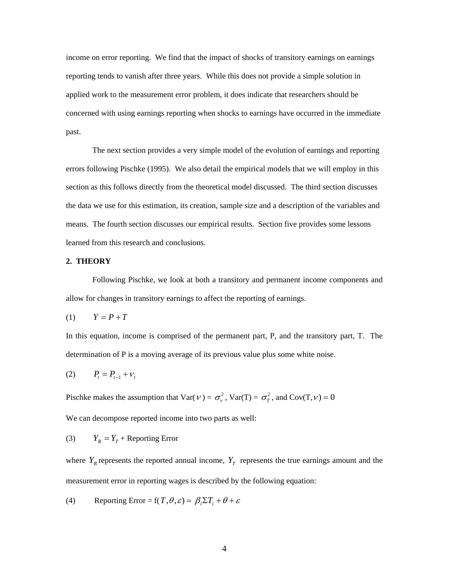income on error reporting. We find that the impact of shocks of transitory earnings on earnings reporting tends to vanish after three years. While this does not provide a simple solution in applied work to the measurement error problem, it does indicate that researchers should be concerned with using earnings reporting when shocks to earnings have occurred in the immediate past.

The next section provides a very simple model of the evolution of earnings and reporting errors following Pischke (1995). We also detail the empirical models that we will employ in this section as this follows directly from the theoretical model discussed. The third section discusses the data we use for this estimation, its creation, sample size and a description of the variables and means. The fourth section discusses our empirical results. Section five provides some lessons learned from this research and conclusions.

### **2. THEORY**

Following Pischke, we look at both a transitory and permanent income components and allow for changes in transitory earnings to affect the reporting of earnings.

$$
(1) \qquad Y = P + T
$$

In this equation, income is comprised of the permanent part, P, and the transitory part, T. The determination of P is a moving average of its previous value plus some white noise.

$$
(2) \qquad P_t = P_{t-1} + V_t
$$

Pischke makes the assumption that  $Var(V) = \sigma_v^2$ ,  $Var(T) = \sigma_T^2$ , and  $Cov(T, v) = 0$ 

We can decompose reported income into two parts as well:

(3)  $Y_R = Y_T +$ Reporting Error

where  $Y_R$  represents the reported annual income,  $Y_T$  represents the true earnings amount and the measurement error in reporting wages is described by the following equation:

(4) Reporting Error = 
$$
f(T, \theta, \varepsilon) = \beta_i \Sigma T_i + \theta + \varepsilon
$$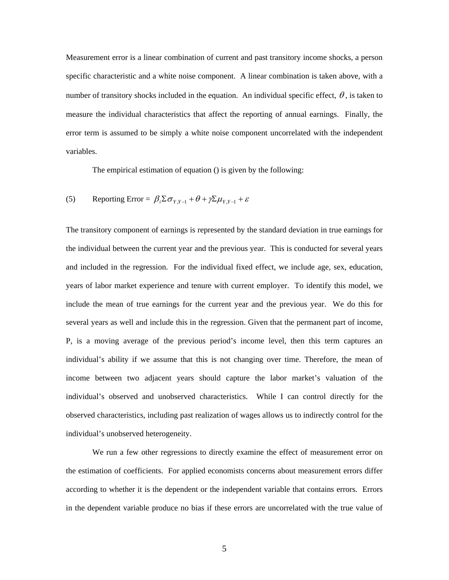Measurement error is a linear combination of current and past transitory income shocks, a person specific characteristic and a white noise component. A linear combination is taken above, with a number of transitory shocks included in the equation. An individual specific effect,  $\theta$ , is taken to measure the individual characteristics that affect the reporting of annual earnings. Finally, the error term is assumed to be simply a white noise component uncorrelated with the independent variables.

The empirical estimation of equation () is given by the following:

(5) Reporting Error = 
$$
\beta_i \Sigma \sigma_{Y,Y-1} + \theta + \gamma \Sigma \mu_{Y,Y-1} + \varepsilon
$$

The transitory component of earnings is represented by the standard deviation in true earnings for the individual between the current year and the previous year. This is conducted for several years and included in the regression. For the individual fixed effect, we include age, sex, education, years of labor market experience and tenure with current employer. To identify this model, we include the mean of true earnings for the current year and the previous year. We do this for several years as well and include this in the regression. Given that the permanent part of income, P, is a moving average of the previous period's income level, then this term captures an individual's ability if we assume that this is not changing over time. Therefore, the mean of income between two adjacent years should capture the labor market's valuation of the individual's observed and unobserved characteristics. While I can control directly for the observed characteristics, including past realization of wages allows us to indirectly control for the individual's unobserved heterogeneity.

We run a few other regressions to directly examine the effect of measurement error on the estimation of coefficients. For applied economists concerns about measurement errors differ according to whether it is the dependent or the independent variable that contains errors. Errors in the dependent variable produce no bias if these errors are uncorrelated with the true value of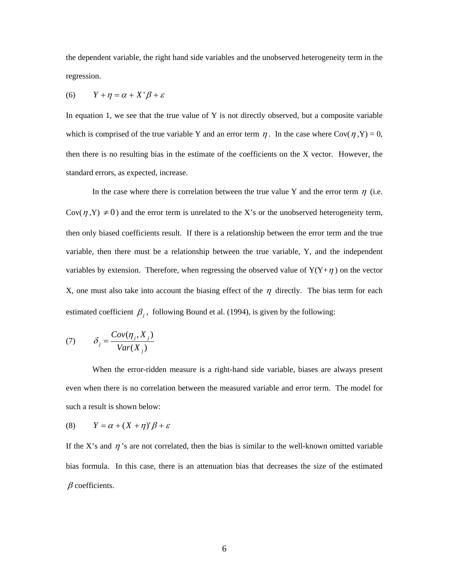the dependent variable, the right hand side variables and the unobserved heterogeneity term in the regression.

$$
(6) \qquad Y + \eta = \alpha + X' \beta + \varepsilon
$$

In equation 1, we see that the true value of Y is not directly observed, but a composite variable which is comprised of the true variable Y and an error term  $\eta$ . In the case where Cov( $\eta$ ,Y) = 0, then there is no resulting bias in the estimate of the coefficients on the X vector. However, the standard errors, as expected, increase.

In the case where there is correlation between the true value Y and the error term  $\eta$  (i.e. Cov( $\eta$ ,Y)  $\neq$  0) and the error term is unrelated to the X's or the unobserved heterogeneity term, then only biased coefficients result. If there is a relationship between the error term and the true variable, then there must be a relationship between the true variable, Y, and the independent variables by extension. Therefore, when regressing the observed value of  $Y(Y+\eta)$  on the vector X, one must also take into account the biasing effect of the  $\eta$  directly. The bias term for each estimated coefficient  $\beta_i$ , following Bound et al. (1994), is given by the following:

$$
(7) \qquad \delta_j = \frac{Cov(\eta_j, X_j)}{Var(X_j)}
$$

When the error-ridden measure is a right-hand side variable, biases are always present even when there is no correlation between the measured variable and error term. The model for such a result is shown below:

$$
(8) \qquad Y = \alpha + (X + \eta)^{\prime} \beta + \varepsilon
$$

If the X's and  $\eta$ 's are not correlated, then the bias is similar to the well-known omitted variable bias formula. In this case, there is an attenuation bias that decreases the size of the estimated  $\beta$  coefficients.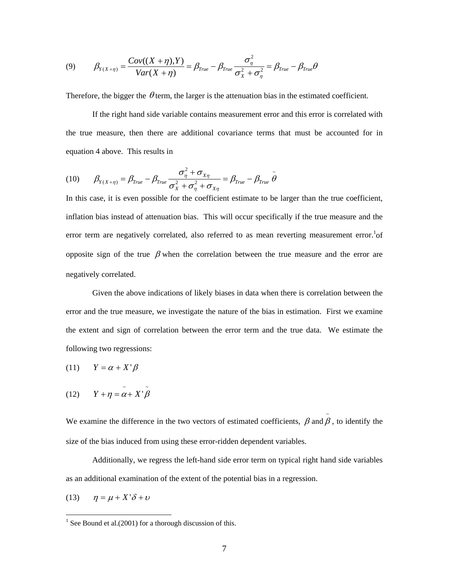(9) 
$$
\beta_{Y(X+\eta)} = \frac{Cov((X+\eta),Y)}{Var(X+\eta)} = \beta_{True} - \beta_{True} \frac{\sigma_{\eta}^2}{\sigma_{X}^2 + \sigma_{\eta}^2} = \beta_{True} - \beta_{True} \theta
$$

Therefore, the bigger the  $\theta$  term, the larger is the attenuation bias in the estimated coefficient.

If the right hand side variable contains measurement error and this error is correlated with the true measure, then there are additional covariance terms that must be accounted for in equation 4 above. This results in

(10) 
$$
\beta_{Y(X+\eta)} = \beta_{True} - \beta_{True} \frac{\sigma_{\eta}^2 + \sigma_{X\eta}}{\sigma_X^2 + \sigma_{\eta}^2 + \sigma_{X\eta}} = \beta_{True} - \beta_{True} \tilde{\theta}
$$

In this case, it is even possible for the coefficient estimate to be larger than the true coefficient, inflation bias instead of attenuation bias. This will occur specifically if the true measure and the error term are negatively correlated, also referred to as mean reverting measurement error.<sup>1</sup> of opposite sign of the true  $\beta$  when the correlation between the true measure and the error are negatively correlated.

Given the above indications of likely biases in data when there is correlation between the error and the true measure, we investigate the nature of the bias in estimation. First we examine the extent and sign of correlation between the error term and the true data. We estimate the following two regressions:

$$
(11) \qquad Y = \alpha + X' \beta
$$

(12) 
$$
Y + \eta = \tilde{\alpha} + X^{\dagger} \tilde{\beta}
$$

We examine the difference in the two vectors of estimated coefficients,  $\beta$  and  $\tilde{\beta}$ , to identify the size of the bias induced from using these error-ridden dependent variables. β

Additionally, we regress the left-hand side error term on typical right hand side variables as an additional examination of the extent of the potential bias in a regression.

(13)  $\eta = \mu + X' \delta + \nu$ 

<span id="page-6-0"></span><sup>&</sup>lt;sup>1</sup> See Bound et al.(2001) for a thorough discussion of this.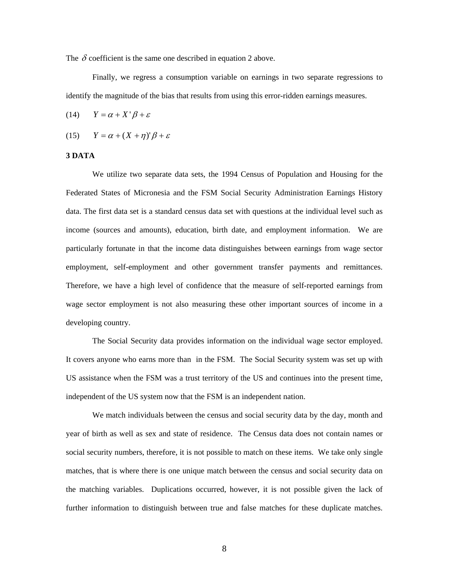The  $\delta$  coefficient is the same one described in equation 2 above.

Finally, we regress a consumption variable on earnings in two separate regressions to identify the magnitude of the bias that results from using this error-ridden earnings measures.

(14)  $Y = \alpha + X' \beta + \varepsilon$ 

$$
(15) \qquad Y = \alpha + (X + \eta)^{\prime} \beta + \varepsilon
$$

#### **3 DATA**

We utilize two separate data sets, the 1994 Census of Population and Housing for the Federated States of Micronesia and the FSM Social Security Administration Earnings History data. The first data set is a standard census data set with questions at the individual level such as income (sources and amounts), education, birth date, and employment information. We are particularly fortunate in that the income data distinguishes between earnings from wage sector employment, self-employment and other government transfer payments and remittances. Therefore, we have a high level of confidence that the measure of self-reported earnings from wage sector employment is not also measuring these other important sources of income in a developing country.

The Social Security data provides information on the individual wage sector employed. It covers anyone who earns more than in the FSM. The Social Security system was set up with US assistance when the FSM was a trust territory of the US and continues into the present time, independent of the US system now that the FSM is an independent nation.

We match individuals between the census and social security data by the day, month and year of birth as well as sex and state of residence. The Census data does not contain names or social security numbers, therefore, it is not possible to match on these items. We take only single matches, that is where there is one unique match between the census and social security data on the matching variables. Duplications occurred, however, it is not possible given the lack of further information to distinguish between true and false matches for these duplicate matches.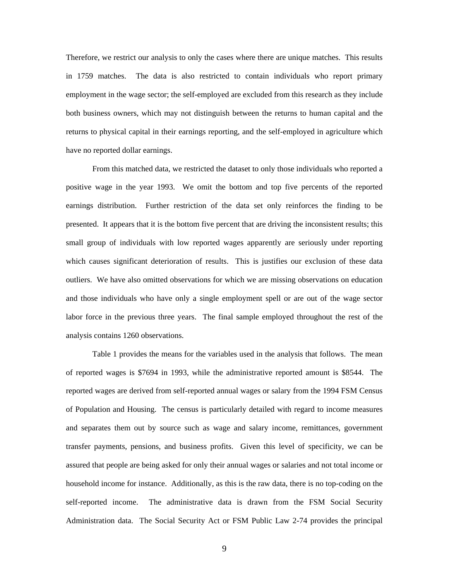Therefore, we restrict our analysis to only the cases where there are unique matches. This results in 1759 matches. The data is also restricted to contain individuals who report primary employment in the wage sector; the self-employed are excluded from this research as they include both business owners, which may not distinguish between the returns to human capital and the returns to physical capital in their earnings reporting, and the self-employed in agriculture which have no reported dollar earnings.

From this matched data, we restricted the dataset to only those individuals who reported a positive wage in the year 1993. We omit the bottom and top five percents of the reported earnings distribution. Further restriction of the data set only reinforces the finding to be presented. It appears that it is the bottom five percent that are driving the inconsistent results; this small group of individuals with low reported wages apparently are seriously under reporting which causes significant deterioration of results. This is justifies our exclusion of these data outliers. We have also omitted observations for which we are missing observations on education and those individuals who have only a single employment spell or are out of the wage sector labor force in the previous three years. The final sample employed throughout the rest of the analysis contains 1260 observations.

Table 1 provides the means for the variables used in the analysis that follows. The mean of reported wages is \$7694 in 1993, while the administrative reported amount is \$8544. The reported wages are derived from self-reported annual wages or salary from the 1994 FSM Census of Population and Housing. The census is particularly detailed with regard to income measures and separates them out by source such as wage and salary income, remittances, government transfer payments, pensions, and business profits. Given this level of specificity, we can be assured that people are being asked for only their annual wages or salaries and not total income or household income for instance. Additionally, as this is the raw data, there is no top-coding on the self-reported income. The administrative data is drawn from the FSM Social Security Administration data. The Social Security Act or FSM Public Law 2-74 provides the principal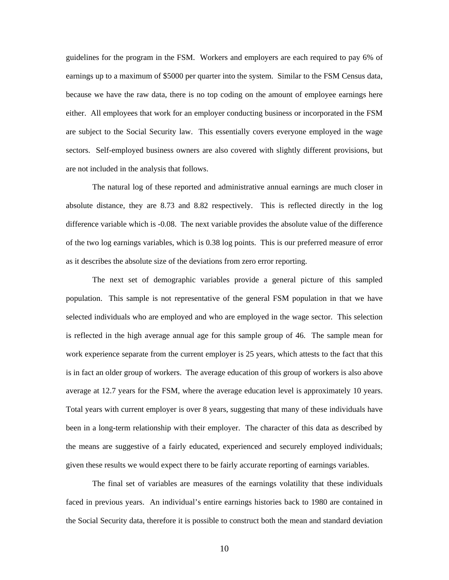guidelines for the program in the FSM. Workers and employers are each required to pay 6% of earnings up to a maximum of \$5000 per quarter into the system. Similar to the FSM Census data, because we have the raw data, there is no top coding on the amount of employee earnings here either. All employees that work for an employer conducting business or incorporated in the FSM are subject to the Social Security law. This essentially covers everyone employed in the wage sectors. Self-employed business owners are also covered with slightly different provisions, but are not included in the analysis that follows.

The natural log of these reported and administrative annual earnings are much closer in absolute distance, they are 8.73 and 8.82 respectively. This is reflected directly in the log difference variable which is -0.08. The next variable provides the absolute value of the difference of the two log earnings variables, which is 0.38 log points. This is our preferred measure of error as it describes the absolute size of the deviations from zero error reporting.

The next set of demographic variables provide a general picture of this sampled population. This sample is not representative of the general FSM population in that we have selected individuals who are employed and who are employed in the wage sector. This selection is reflected in the high average annual age for this sample group of 46. The sample mean for work experience separate from the current employer is 25 years, which attests to the fact that this is in fact an older group of workers. The average education of this group of workers is also above average at 12.7 years for the FSM, where the average education level is approximately 10 years. Total years with current employer is over 8 years, suggesting that many of these individuals have been in a long-term relationship with their employer. The character of this data as described by the means are suggestive of a fairly educated, experienced and securely employed individuals; given these results we would expect there to be fairly accurate reporting of earnings variables.

The final set of variables are measures of the earnings volatility that these individuals faced in previous years. An individual's entire earnings histories back to 1980 are contained in the Social Security data, therefore it is possible to construct both the mean and standard deviation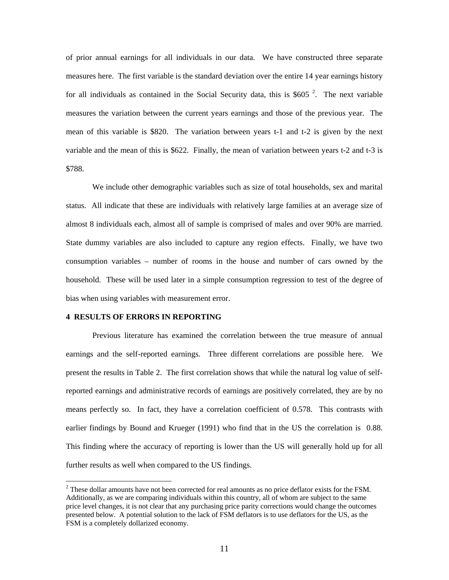of prior annual earnings for all individuals in our data. We have constructed three separate measures here. The first variable is the standard deviation over the entire 14 year earnings history for all individuals as contained in the Social Security data, this is \$605 $^2$  $^2$ . The next variable measures the variation between the current years earnings and those of the previous year. The mean of this variable is \$820. The variation between years t-1 and t-2 is given by the next variable and the mean of this is \$622. Finally, the mean of variation between years t-2 and t-3 is \$788.

We include other demographic variables such as size of total households, sex and marital status. All indicate that these are individuals with relatively large families at an average size of almost 8 individuals each, almost all of sample is comprised of males and over 90% are married. State dummy variables are also included to capture any region effects. Finally, we have two consumption variables – number of rooms in the house and number of cars owned by the household. These will be used later in a simple consumption regression to test of the degree of bias when using variables with measurement error.

#### **4 RESULTS OF ERRORS IN REPORTING**

 $\overline{a}$ 

Previous literature has examined the correlation between the true measure of annual earnings and the self-reported earnings. Three different correlations are possible here. We present the results in Table 2. The first correlation shows that while the natural log value of selfreported earnings and administrative records of earnings are positively correlated, they are by no means perfectly so. In fact, they have a correlation coefficient of 0.578. This contrasts with earlier findings by Bound and Krueger (1991) who find that in the US the correlation is 0.88. This finding where the accuracy of reporting is lower than the US will generally hold up for all further results as well when compared to the US findings.

<span id="page-10-0"></span> $2^2$  These dollar amounts have not been corrected for real amounts as no price deflator exists for the FSM. Additionally, as we are comparing individuals within this country, all of whom are subject to the same price level changes, it is not clear that any purchasing price parity corrections would change the outcomes presented below. A potential solution to the lack of FSM deflators is to use deflators for the US, as the FSM is a completely dollarized economy.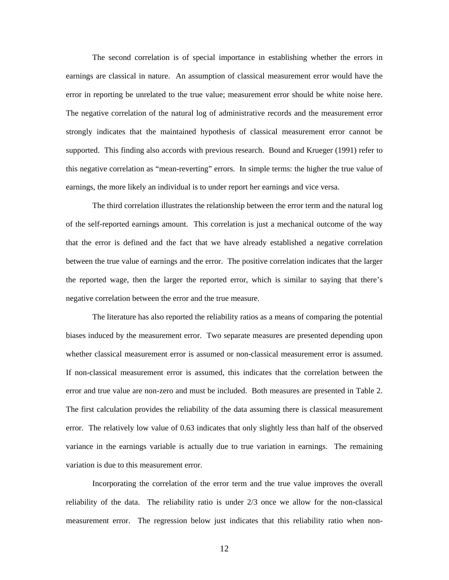The second correlation is of special importance in establishing whether the errors in earnings are classical in nature. An assumption of classical measurement error would have the error in reporting be unrelated to the true value; measurement error should be white noise here. The negative correlation of the natural log of administrative records and the measurement error strongly indicates that the maintained hypothesis of classical measurement error cannot be supported. This finding also accords with previous research. Bound and Krueger (1991) refer to this negative correlation as "mean-reverting" errors. In simple terms: the higher the true value of earnings, the more likely an individual is to under report her earnings and vice versa.

The third correlation illustrates the relationship between the error term and the natural log of the self-reported earnings amount. This correlation is just a mechanical outcome of the way that the error is defined and the fact that we have already established a negative correlation between the true value of earnings and the error. The positive correlation indicates that the larger the reported wage, then the larger the reported error, which is similar to saying that there's negative correlation between the error and the true measure.

The literature has also reported the reliability ratios as a means of comparing the potential biases induced by the measurement error. Two separate measures are presented depending upon whether classical measurement error is assumed or non-classical measurement error is assumed. If non-classical measurement error is assumed, this indicates that the correlation between the error and true value are non-zero and must be included. Both measures are presented in Table 2. The first calculation provides the reliability of the data assuming there is classical measurement error. The relatively low value of 0.63 indicates that only slightly less than half of the observed variance in the earnings variable is actually due to true variation in earnings. The remaining variation is due to this measurement error.

Incorporating the correlation of the error term and the true value improves the overall reliability of the data. The reliability ratio is under 2/3 once we allow for the non-classical measurement error. The regression below just indicates that this reliability ratio when non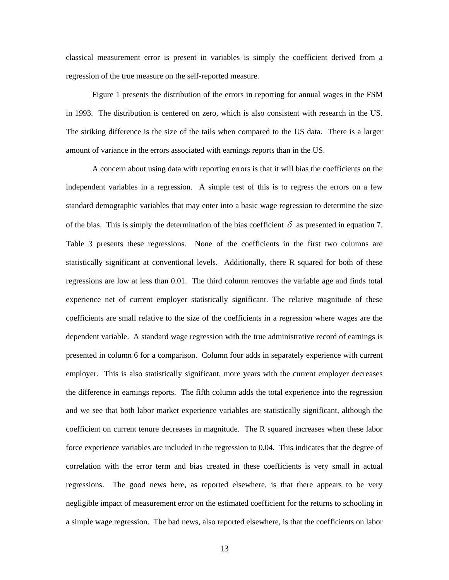classical measurement error is present in variables is simply the coefficient derived from a regression of the true measure on the self-reported measure.

Figure 1 presents the distribution of the errors in reporting for annual wages in the FSM in 1993. The distribution is centered on zero, which is also consistent with research in the US. The striking difference is the size of the tails when compared to the US data. There is a larger amount of variance in the errors associated with earnings reports than in the US.

A concern about using data with reporting errors is that it will bias the coefficients on the independent variables in a regression. A simple test of this is to regress the errors on a few standard demographic variables that may enter into a basic wage regression to determine the size of the bias. This is simply the determination of the bias coefficient  $\delta$  as presented in equation 7. Table 3 presents these regressions. None of the coefficients in the first two columns are statistically significant at conventional levels. Additionally, there R squared for both of these regressions are low at less than 0.01. The third column removes the variable age and finds total experience net of current employer statistically significant. The relative magnitude of these coefficients are small relative to the size of the coefficients in a regression where wages are the dependent variable. A standard wage regression with the true administrative record of earnings is presented in column 6 for a comparison. Column four adds in separately experience with current employer. This is also statistically significant, more years with the current employer decreases the difference in earnings reports. The fifth column adds the total experience into the regression and we see that both labor market experience variables are statistically significant, although the coefficient on current tenure decreases in magnitude. The R squared increases when these labor force experience variables are included in the regression to 0.04. This indicates that the degree of correlation with the error term and bias created in these coefficients is very small in actual regressions. The good news here, as reported elsewhere, is that there appears to be very negligible impact of measurement error on the estimated coefficient for the returns to schooling in a simple wage regression. The bad news, also reported elsewhere, is that the coefficients on labor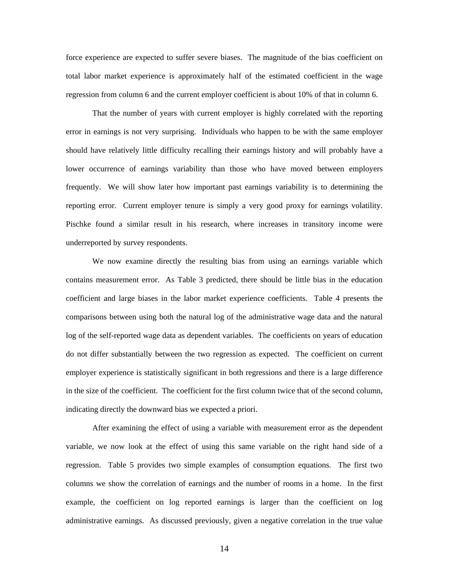force experience are expected to suffer severe biases. The magnitude of the bias coefficient on total labor market experience is approximately half of the estimated coefficient in the wage regression from column 6 and the current employer coefficient is about 10% of that in column 6.

That the number of years with current employer is highly correlated with the reporting error in earnings is not very surprising. Individuals who happen to be with the same employer should have relatively little difficulty recalling their earnings history and will probably have a lower occurrence of earnings variability than those who have moved between employers frequently. We will show later how important past earnings variability is to determining the reporting error. Current employer tenure is simply a very good proxy for earnings volatility. Pischke found a similar result in his research, where increases in transitory income were underreported by survey respondents.

We now examine directly the resulting bias from using an earnings variable which contains measurement error. As Table 3 predicted, there should be little bias in the education coefficient and large biases in the labor market experience coefficients. Table 4 presents the comparisons between using both the natural log of the administrative wage data and the natural log of the self-reported wage data as dependent variables. The coefficients on years of education do not differ substantially between the two regression as expected. The coefficient on current employer experience is statistically significant in both regressions and there is a large difference in the size of the coefficient. The coefficient for the first column twice that of the second column, indicating directly the downward bias we expected a priori.

After examining the effect of using a variable with measurement error as the dependent variable, we now look at the effect of using this same variable on the right hand side of a regression. Table 5 provides two simple examples of consumption equations. The first two columns we show the correlation of earnings and the number of rooms in a home. In the first example, the coefficient on log reported earnings is larger than the coefficient on log administrative earnings. As discussed previously, given a negative correlation in the true value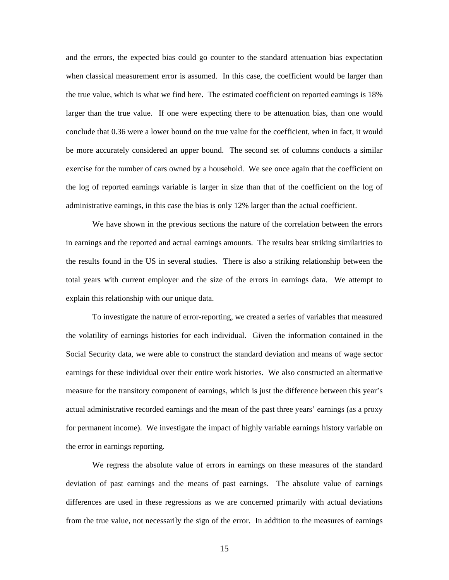and the errors, the expected bias could go counter to the standard attenuation bias expectation when classical measurement error is assumed. In this case, the coefficient would be larger than the true value, which is what we find here. The estimated coefficient on reported earnings is 18% larger than the true value. If one were expecting there to be attenuation bias, than one would conclude that 0.36 were a lower bound on the true value for the coefficient, when in fact, it would be more accurately considered an upper bound. The second set of columns conducts a similar exercise for the number of cars owned by a household. We see once again that the coefficient on the log of reported earnings variable is larger in size than that of the coefficient on the log of administrative earnings, in this case the bias is only 12% larger than the actual coefficient.

We have shown in the previous sections the nature of the correlation between the errors in earnings and the reported and actual earnings amounts. The results bear striking similarities to the results found in the US in several studies. There is also a striking relationship between the total years with current employer and the size of the errors in earnings data. We attempt to explain this relationship with our unique data.

To investigate the nature of error-reporting, we created a series of variables that measured the volatility of earnings histories for each individual. Given the information contained in the Social Security data, we were able to construct the standard deviation and means of wage sector earnings for these individual over their entire work histories. We also constructed an altermative measure for the transitory component of earnings, which is just the difference between this year's actual administrative recorded earnings and the mean of the past three years' earnings (as a proxy for permanent income). We investigate the impact of highly variable earnings history variable on the error in earnings reporting.

We regress the absolute value of errors in earnings on these measures of the standard deviation of past earnings and the means of past earnings. The absolute value of earnings differences are used in these regressions as we are concerned primarily with actual deviations from the true value, not necessarily the sign of the error. In addition to the measures of earnings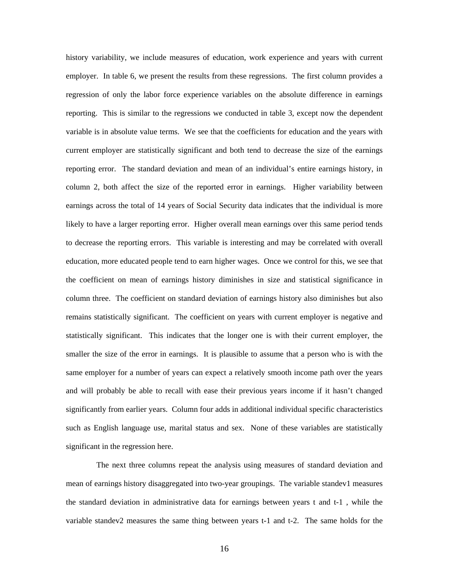history variability, we include measures of education, work experience and years with current employer. In table 6, we present the results from these regressions. The first column provides a regression of only the labor force experience variables on the absolute difference in earnings reporting. This is similar to the regressions we conducted in table 3, except now the dependent variable is in absolute value terms. We see that the coefficients for education and the years with current employer are statistically significant and both tend to decrease the size of the earnings reporting error. The standard deviation and mean of an individual's entire earnings history, in column 2, both affect the size of the reported error in earnings. Higher variability between earnings across the total of 14 years of Social Security data indicates that the individual is more likely to have a larger reporting error. Higher overall mean earnings over this same period tends to decrease the reporting errors. This variable is interesting and may be correlated with overall education, more educated people tend to earn higher wages. Once we control for this, we see that the coefficient on mean of earnings history diminishes in size and statistical significance in column three. The coefficient on standard deviation of earnings history also diminishes but also remains statistically significant. The coefficient on years with current employer is negative and statistically significant. This indicates that the longer one is with their current employer, the smaller the size of the error in earnings. It is plausible to assume that a person who is with the same employer for a number of years can expect a relatively smooth income path over the years and will probably be able to recall with ease their previous years income if it hasn't changed significantly from earlier years. Column four adds in additional individual specific characteristics such as English language use, marital status and sex. None of these variables are statistically significant in the regression here.

The next three columns repeat the analysis using measures of standard deviation and mean of earnings history disaggregated into two-year groupings. The variable standev1 measures the standard deviation in administrative data for earnings between years t and t-1 , while the variable standev2 measures the same thing between years t-1 and t-2. The same holds for the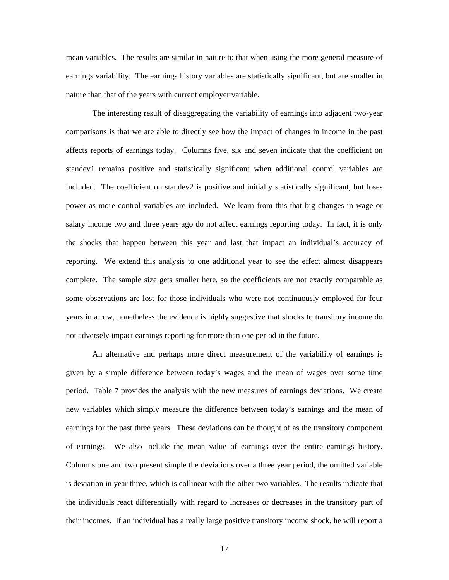mean variables. The results are similar in nature to that when using the more general measure of earnings variability. The earnings history variables are statistically significant, but are smaller in nature than that of the years with current employer variable.

The interesting result of disaggregating the variability of earnings into adjacent two-year comparisons is that we are able to directly see how the impact of changes in income in the past affects reports of earnings today. Columns five, six and seven indicate that the coefficient on standev1 remains positive and statistically significant when additional control variables are included. The coefficient on standev2 is positive and initially statistically significant, but loses power as more control variables are included. We learn from this that big changes in wage or salary income two and three years ago do not affect earnings reporting today. In fact, it is only the shocks that happen between this year and last that impact an individual's accuracy of reporting. We extend this analysis to one additional year to see the effect almost disappears complete. The sample size gets smaller here, so the coefficients are not exactly comparable as some observations are lost for those individuals who were not continuously employed for four years in a row, nonetheless the evidence is highly suggestive that shocks to transitory income do not adversely impact earnings reporting for more than one period in the future.

An alternative and perhaps more direct measurement of the variability of earnings is given by a simple difference between today's wages and the mean of wages over some time period. Table 7 provides the analysis with the new measures of earnings deviations. We create new variables which simply measure the difference between today's earnings and the mean of earnings for the past three years. These deviations can be thought of as the transitory component of earnings. We also include the mean value of earnings over the entire earnings history. Columns one and two present simple the deviations over a three year period, the omitted variable is deviation in year three, which is collinear with the other two variables. The results indicate that the individuals react differentially with regard to increases or decreases in the transitory part of their incomes. If an individual has a really large positive transitory income shock, he will report a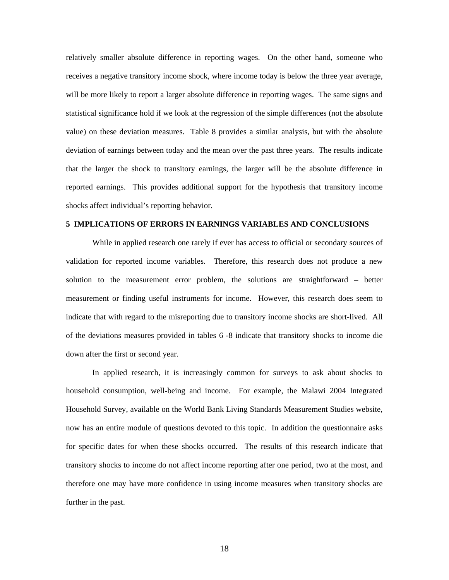relatively smaller absolute difference in reporting wages. On the other hand, someone who receives a negative transitory income shock, where income today is below the three year average, will be more likely to report a larger absolute difference in reporting wages. The same signs and statistical significance hold if we look at the regression of the simple differences (not the absolute value) on these deviation measures. Table 8 provides a similar analysis, but with the absolute deviation of earnings between today and the mean over the past three years. The results indicate that the larger the shock to transitory earnings, the larger will be the absolute difference in reported earnings. This provides additional support for the hypothesis that transitory income shocks affect individual's reporting behavior.

#### **5 IMPLICATIONS OF ERRORS IN EARNINGS VARIABLES AND CONCLUSIONS**

While in applied research one rarely if ever has access to official or secondary sources of validation for reported income variables. Therefore, this research does not produce a new solution to the measurement error problem, the solutions are straightforward – better measurement or finding useful instruments for income. However, this research does seem to indicate that with regard to the misreporting due to transitory income shocks are short-lived. All of the deviations measures provided in tables 6 -8 indicate that transitory shocks to income die down after the first or second year.

In applied research, it is increasingly common for surveys to ask about shocks to household consumption, well-being and income. For example, the Malawi 2004 Integrated Household Survey, available on the World Bank Living Standards Measurement Studies website, now has an entire module of questions devoted to this topic. In addition the questionnaire asks for specific dates for when these shocks occurred. The results of this research indicate that transitory shocks to income do not affect income reporting after one period, two at the most, and therefore one may have more confidence in using income measures when transitory shocks are further in the past.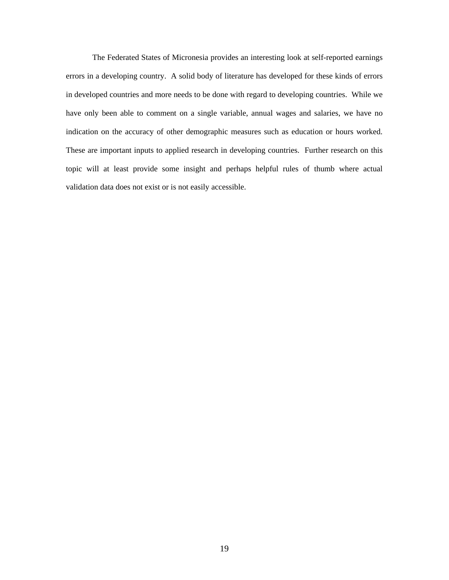The Federated States of Micronesia provides an interesting look at self-reported earnings errors in a developing country. A solid body of literature has developed for these kinds of errors in developed countries and more needs to be done with regard to developing countries. While we have only been able to comment on a single variable, annual wages and salaries, we have no indication on the accuracy of other demographic measures such as education or hours worked. These are important inputs to applied research in developing countries. Further research on this topic will at least provide some insight and perhaps helpful rules of thumb where actual validation data does not exist or is not easily accessible.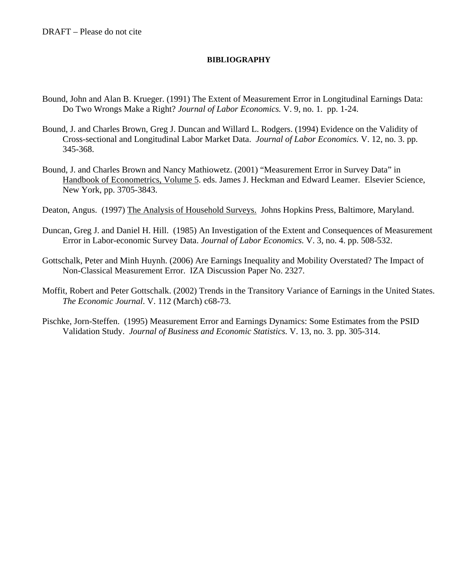### **BIBLIOGRAPHY**

- Bound, John and Alan B. Krueger. (1991) The Extent of Measurement Error in Longitudinal Earnings Data: Do Two Wrongs Make a Right? *Journal of Labor Economics.* V. 9, no. 1. pp. 1-24.
- Bound, J. and Charles Brown, Greg J. Duncan and Willard L. Rodgers. (1994) Evidence on the Validity of Cross-sectional and Longitudinal Labor Market Data. *Journal of Labor Economics.* V. 12, no. 3. pp. 345-368.
- Bound, J. and Charles Brown and Nancy Mathiowetz. (2001) "Measurement Error in Survey Data" in Handbook of Econometrics, Volume 5. eds. James J. Heckman and Edward Leamer. Elsevier Science, New York, pp. 3705-3843.
- Deaton, Angus. (1997) The Analysis of Household Surveys. Johns Hopkins Press, Baltimore, Maryland.
- Duncan, Greg J. and Daniel H. Hill. (1985) An Investigation of the Extent and Consequences of Measurement Error in Labor-economic Survey Data. *Journal of Labor Economics.* V. 3, no. 4. pp. 508-532.
- Gottschalk, Peter and Minh Huynh. (2006) Are Earnings Inequality and Mobility Overstated? The Impact of Non-Classical Measurement Error. IZA Discussion Paper No. 2327.
- Moffit, Robert and Peter Gottschalk. (2002) Trends in the Transitory Variance of Earnings in the United States. *The Economic Journal*. V. 112 (March) c68-73.
- Pischke, Jorn-Steffen. (1995) Measurement Error and Earnings Dynamics: Some Estimates from the PSID Validation Study. *Journal of Business and Economic Statistics.* V. 13, no. 3. pp. 305-314.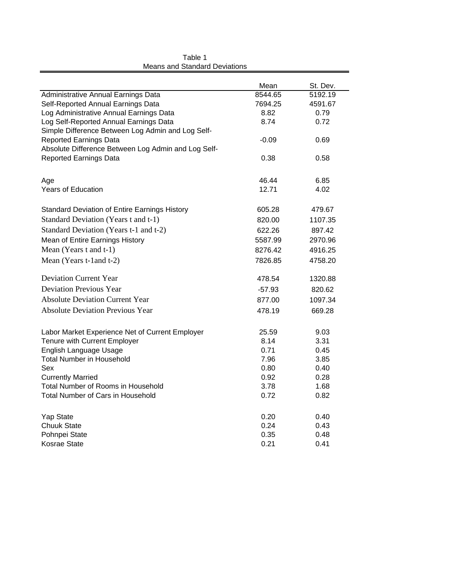|                                                      | Mean     | St. Dev. |
|------------------------------------------------------|----------|----------|
| Administrative Annual Earnings Data                  | 8544.65  | 5192.19  |
| Self-Reported Annual Earnings Data                   | 7694.25  | 4591.67  |
| Log Administrative Annual Earnings Data              | 8.82     | 0.79     |
| Log Self-Reported Annual Earnings Data               | 8.74     | 0.72     |
| Simple Difference Between Log Admin and Log Self-    |          |          |
| <b>Reported Earnings Data</b>                        | $-0.09$  | 0.69     |
| Absolute Difference Between Log Admin and Log Self-  |          |          |
| <b>Reported Earnings Data</b>                        | 0.38     | 0.58     |
| Age                                                  | 46.44    | 6.85     |
| Years of Education                                   | 12.71    | 4.02     |
| <b>Standard Deviation of Entire Earnings History</b> | 605.28   | 479.67   |
| Standard Deviation (Years t and t-1)                 | 820.00   | 1107.35  |
| Standard Deviation (Years t-1 and t-2)               | 622.26   | 897.42   |
| Mean of Entire Earnings History                      | 5587.99  | 2970.96  |
| Mean (Years t and t-1)                               | 8276.42  | 4916.25  |
| Mean (Years t-1 and t-2)                             | 7826.85  | 4758.20  |
| <b>Deviation Current Year</b>                        | 478.54   | 1320.88  |
| <b>Deviation Previous Year</b>                       | $-57.93$ | 820.62   |
| <b>Absolute Deviation Current Year</b>               | 877.00   | 1097.34  |
| <b>Absolute Deviation Previous Year</b>              | 478.19   | 669.28   |
| Labor Market Experience Net of Current Employer      | 25.59    | 9.03     |
| Tenure with Current Employer                         | 8.14     | 3.31     |
| English Language Usage                               | 0.71     | 0.45     |
| <b>Total Number in Household</b>                     | 7.96     | 3.85     |
| Sex                                                  | 0.80     | 0.40     |
| <b>Currently Married</b>                             | 0.92     | 0.28     |
| <b>Total Number of Rooms in Household</b>            | 3.78     | 1.68     |
| Total Number of Cars in Household                    | 0.72     | 0.82     |
| Yap State                                            | 0.20     | 0.40     |
| <b>Chuuk State</b>                                   | 0.24     | 0.43     |
| Pohnpei State                                        | 0.35     | 0.48     |
| <b>Kosrae State</b>                                  | 0.21     | 0.41     |

Means and Standard Deviations Table 1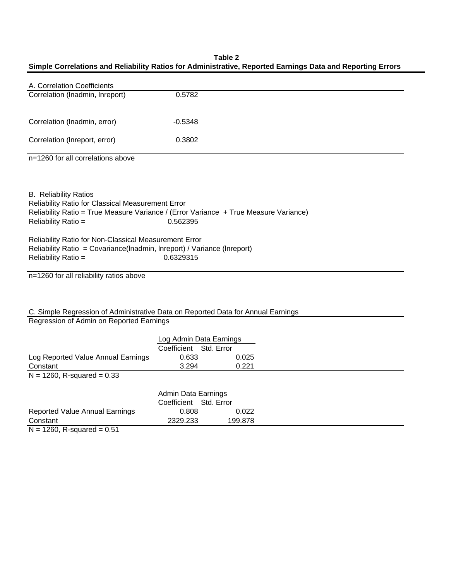### **Simple Correlations and Reliability Ratios for Administrative, Reported Earnings Data and Reporting Errors Table 2**

| A. Correlation Coefficients                                                          |                         |            |  |
|--------------------------------------------------------------------------------------|-------------------------|------------|--|
| Correlation (Inadmin, Inreport)                                                      | 0.5782                  |            |  |
|                                                                                      |                         |            |  |
| Correlation (Inadmin, error)                                                         | $-0.5348$               |            |  |
| Correlation (Inreport, error)                                                        | 0.3802                  |            |  |
| n=1260 for all correlations above                                                    |                         |            |  |
|                                                                                      |                         |            |  |
| <b>B.</b> Reliability Ratios                                                         |                         |            |  |
| Reliability Ratio for Classical Measurement Error                                    |                         |            |  |
| Reliability Ratio = True Measure Variance / (Error Variance + True Measure Variance) |                         |            |  |
| Reliability Ratio =                                                                  | 0.562395                |            |  |
|                                                                                      |                         |            |  |
| Reliability Ratio for Non-Classical Measurement Error                                |                         |            |  |
| Reliability Ratio = Covariance(Inadmin, Inreport) / Variance (Inreport)              |                         |            |  |
| Reliability Ratio =                                                                  | 0.6329315               |            |  |
| n=1260 for all reliability ratios above                                              |                         |            |  |
|                                                                                      |                         |            |  |
|                                                                                      |                         |            |  |
|                                                                                      |                         |            |  |
| C. Simple Regression of Administrative Data on Reported Data for Annual Earnings     |                         |            |  |
| Regression of Admin on Reported Earnings                                             |                         |            |  |
|                                                                                      |                         |            |  |
|                                                                                      | Log Admin Data Earnings |            |  |
|                                                                                      | Coefficient Std. Error  |            |  |
| Log Reported Value Annual Earnings                                                   | 0.633                   | 0.025      |  |
| Constant                                                                             | 3.294                   | 0.221      |  |
| $N = 1260$ , R-squared = 0.33                                                        |                         |            |  |
|                                                                                      | Admin Data Earnings     |            |  |
|                                                                                      | Coefficient             | Std. Error |  |
| <b>Reported Value Annual Earnings</b>                                                | 0.808                   | 0.022      |  |
| Constant                                                                             | 2329.233                | 199.878    |  |

 $N = 1260$ , R-squared = 0.51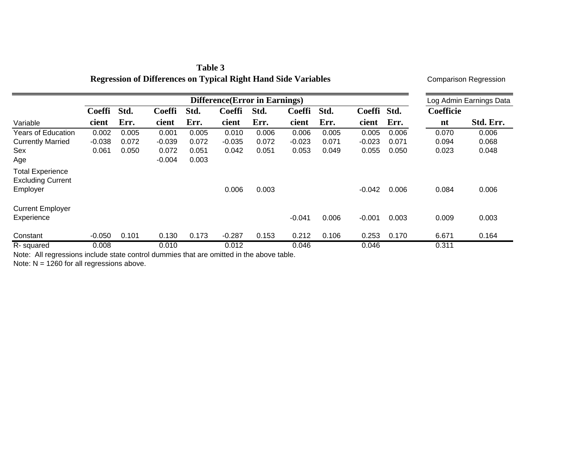|                                                     | Difference (Error in Earnings) |       |               |       |               |       |               |       |               |       |           | Log Admin Earnings Data |  |  |
|-----------------------------------------------------|--------------------------------|-------|---------------|-------|---------------|-------|---------------|-------|---------------|-------|-----------|-------------------------|--|--|
|                                                     | <b>Coeffi</b>                  | Std.  | <b>Coeffi</b> | Std.  | <b>Coeffi</b> | Std.  | <b>Coeffi</b> | Std.  | <b>Coeffi</b> | Std.  | Coefficie |                         |  |  |
| Variable                                            | cient                          | Err.  | cient         | Err.  | cient         | Err.  | cient         | Err.  | cient         | Err.  | nt        | Std. Err.               |  |  |
| <b>Years of Education</b>                           | 0.002                          | 0.005 | 0.001         | 0.005 | 0.010         | 0.006 | 0.006         | 0.005 | 0.005         | 0.006 | 0.070     | 0.006                   |  |  |
| <b>Currently Married</b>                            | $-0.038$                       | 0.072 | $-0.039$      | 0.072 | $-0.035$      | 0.072 | $-0.023$      | 0.071 | $-0.023$      | 0.071 | 0.094     | 0.068                   |  |  |
| Sex                                                 | 0.061                          | 0.050 | 0.072         | 0.051 | 0.042         | 0.051 | 0.053         | 0.049 | 0.055         | 0.050 | 0.023     | 0.048                   |  |  |
| Age                                                 |                                |       | $-0.004$      | 0.003 |               |       |               |       |               |       |           |                         |  |  |
| <b>Total Experience</b><br><b>Excluding Current</b> |                                |       |               |       |               |       |               |       |               |       |           |                         |  |  |
| Employer                                            |                                |       |               |       | 0.006         | 0.003 |               |       | $-0.042$      | 0.006 | 0.084     | 0.006                   |  |  |
| <b>Current Employer</b>                             |                                |       |               |       |               |       |               |       |               |       |           |                         |  |  |
| Experience                                          |                                |       |               |       |               |       | $-0.041$      | 0.006 | $-0.001$      | 0.003 | 0.009     | 0.003                   |  |  |
| Constant                                            | $-0.050$                       | 0.101 | 0.130         | 0.173 | $-0.287$      | 0.153 | 0.212         | 0.106 | 0.253         | 0.170 | 6.671     | 0.164                   |  |  |
| R-squared                                           | 0.008                          |       | 0.010         |       | 0.012         |       | 0.046         |       | 0.046         |       | 0.311     |                         |  |  |

# **Table 3 Regression of Differences on Typical Right Hand Side Variables**

Comparison Regression

Note: All regressions include state control dummies that are omitted in the above table.

Note:  $N = 1260$  for all regressions above.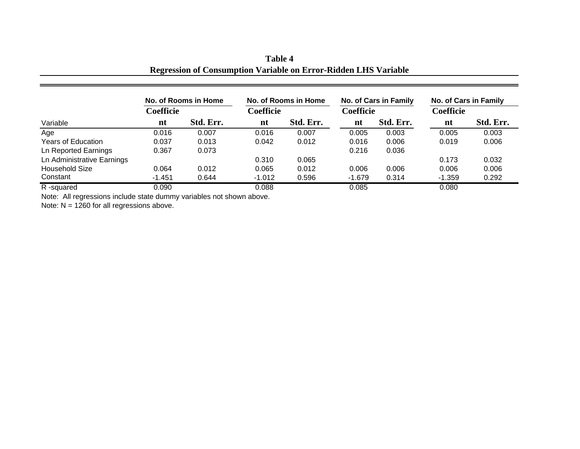| Table 4                                                                |  |
|------------------------------------------------------------------------|--|
| <b>Regression of Consumption Variable on Error-Ridden LHS Variable</b> |  |

| No. of Rooms in Home        |                  |           |           | No. of Rooms in Home |                  | No. of Cars in Family | No. of Cars in Family |           |  |
|-----------------------------|------------------|-----------|-----------|----------------------|------------------|-----------------------|-----------------------|-----------|--|
|                             | <b>Coefficie</b> |           | Coefficie |                      | <b>Coefficie</b> |                       | <b>Coefficie</b>      |           |  |
| Variable                    | nt               | Std. Err. | nt        | Std. Err.            | nt               | Std. Err.             | nt                    | Std. Err. |  |
| Age                         | 0.016            | 0.007     | 0.016     | 0.007                | 0.005            | 0.003                 | 0.005                 | 0.003     |  |
| <b>Years of Education</b>   | 0.037            | 0.013     | 0.042     | 0.012                | 0.016            | 0.006                 | 0.019                 | 0.006     |  |
| <b>Ln Reported Earnings</b> | 0.367            | 0.073     |           |                      | 0.216            | 0.036                 |                       |           |  |
| Ln Administrative Earnings  |                  |           | 0.310     | 0.065                |                  |                       | 0.173                 | 0.032     |  |
| <b>Household Size</b>       | 0.064            | 0.012     | 0.065     | 0.012                | 0.006            | 0.006                 | 0.006                 | 0.006     |  |
| Constant                    | $-1.451$         | 0.644     | $-1.012$  | 0.596                | $-1.679$         | 0.314                 | $-1.359$              | 0.292     |  |
| R-squared                   | 0.090            |           | 0.088     |                      | 0.085            |                       | 0.080                 |           |  |

Note: All regressions include state dummy variables not shown above.

Note: N = 1260 for all regressions above.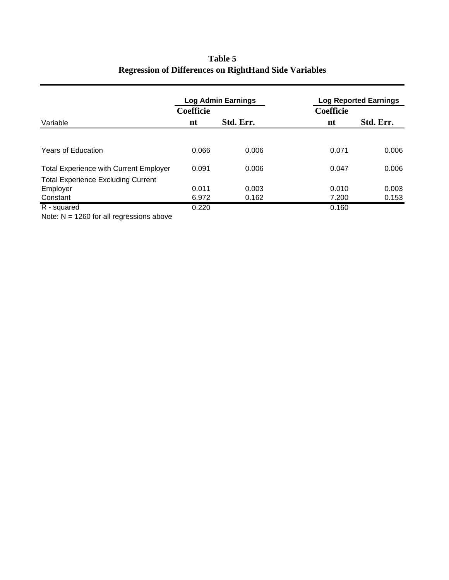|                  |           | <b>Log Reported Earnings</b> |           |  |  |
|------------------|-----------|------------------------------|-----------|--|--|
| <b>Coefficie</b> |           | Coefficie                    |           |  |  |
| nt               | Std. Err. | nt                           | Std. Err. |  |  |
|                  |           |                              |           |  |  |
| 0.066            | 0.006     | 0.071                        | 0.006     |  |  |
| 0.091            | 0.006     | 0.047                        | 0.006     |  |  |
|                  |           |                              |           |  |  |
| 0.011            | 0.003     | 0.010                        | 0.003     |  |  |
| 6.972            | 0.162     | 7.200                        | 0.153     |  |  |
| 0.220            |           | 0.160                        |           |  |  |
|                  |           | <b>Log Admin Earnings</b>    |           |  |  |

# **Regression of Differences on RightHand Side Variables Table 5**

 $\blacksquare$ 

Note:  $N = 1260$  for all regressions above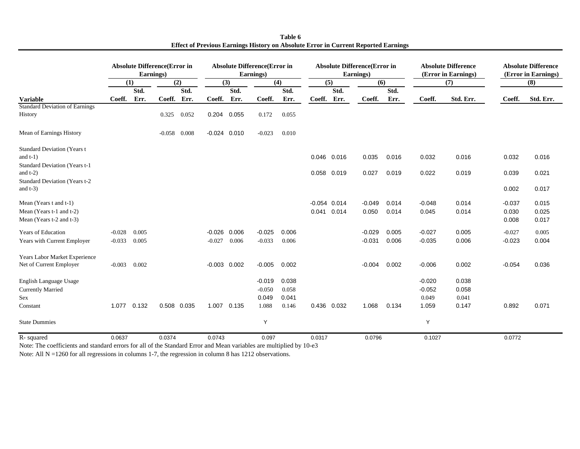|                                                                                                                     |          | <b>Absolute Difference (Error in</b><br>Earnings) |          |             | <b>Absolute Difference (Error in</b><br>Earnings) |             |          |       | <b>Absolute Difference (Error in</b><br>Earnings) |                         |                   |                | <b>Absolute Difference</b><br>(Error in Earnings) |                | <b>Absolute Difference</b><br>(Error in Earnings) |                         |
|---------------------------------------------------------------------------------------------------------------------|----------|---------------------------------------------------|----------|-------------|---------------------------------------------------|-------------|----------|-------|---------------------------------------------------|-------------------------|-------------------|----------------|---------------------------------------------------|----------------|---------------------------------------------------|-------------------------|
|                                                                                                                     | (1)      |                                                   |          | (2)         |                                                   | (3)         |          | (4)   | (5)                                               |                         | (6)               |                |                                                   | (7)            |                                                   | (8)                     |
|                                                                                                                     |          | Std.                                              |          | Std.        |                                                   | Std.        |          | Std.  |                                                   | Std.                    |                   | Std.           |                                                   |                |                                                   |                         |
| <b>Variable</b>                                                                                                     | Coeff.   | Err.                                              | Coeff.   | Err.        | Coeff.                                            | Err.        | Coeff.   | Err.  | Coeff.                                            | Err.                    | Coeff.            | Err.           | Coeff.                                            | Std. Err.      | Coeff.                                            | Std. Err.               |
| <b>Standard Deviation of Earnings</b><br>History                                                                    |          |                                                   | 0.325    | 0.052       |                                                   | 0.204 0.055 | 0.172    | 0.055 |                                                   |                         |                   |                |                                                   |                |                                                   |                         |
| Mean of Earnings History                                                                                            |          |                                                   | $-0.058$ | 0.008       | $-0.024$ 0.010                                    |             | $-0.023$ | 0.010 |                                                   |                         |                   |                |                                                   |                |                                                   |                         |
| <b>Standard Deviation (Years t</b><br>and $t-1$ )<br>Standard Deviation (Years t-1                                  |          |                                                   |          |             |                                                   |             |          |       |                                                   | 0.046 0.016             | 0.035             | 0.016          | 0.032                                             | 0.016          | 0.032                                             | 0.016                   |
| and $t-2$ )<br>Standard Deviation (Years t-2)<br>and $t-3$ )                                                        |          |                                                   |          |             |                                                   |             |          |       |                                                   | 0.058 0.019             | 0.027             | 0.019          | 0.022                                             | 0.019          | 0.039<br>0.002                                    | 0.021<br>0.017          |
| Mean (Years $t$ and $t-1$ )<br>Mean (Years t-1 and t-2)<br>Mean (Years t-2 and t-3)                                 |          |                                                   |          |             |                                                   |             |          |       | 0.041                                             | $-0.054$ 0.014<br>0.014 | $-0.049$<br>0.050 | 0.014<br>0.014 | $-0.048$<br>0.045                                 | 0.014<br>0.014 | $-0.037$<br>0.030<br>0.008                        | 0.015<br>0.025<br>0.017 |
| <b>Years of Education</b>                                                                                           | $-0.028$ | 0.005                                             |          |             | $-0.026$                                          | 0.006       | $-0.025$ | 0.006 |                                                   |                         | $-0.029$          | 0.005          | $-0.027$                                          | 0.005          | $-0.027$                                          | 0.005                   |
| Years with Current Employer                                                                                         | $-0.033$ | 0.005                                             |          |             | $-0.027$                                          | 0.006       | $-0.033$ | 0.006 |                                                   |                         | $-0.031$          | 0.006          | $-0.035$                                          | 0.006          | $-0.023$                                          | 0.004                   |
| Years Labor Market Experience                                                                                       |          |                                                   |          |             |                                                   |             |          |       |                                                   |                         |                   |                |                                                   |                |                                                   |                         |
| Net of Current Employer                                                                                             | $-0.003$ | 0.002                                             |          |             | $-0.003$ $0.002$                                  |             | $-0.005$ | 0.002 |                                                   |                         | $-0.004$          | 0.002          | $-0.006$                                          | 0.002          | $-0.054$                                          | 0.036                   |
| English Language Usage                                                                                              |          |                                                   |          |             |                                                   |             | $-0.019$ | 0.038 |                                                   |                         |                   |                | $-0.020$                                          | 0.038          |                                                   |                         |
| <b>Currently Married</b>                                                                                            |          |                                                   |          |             |                                                   |             | $-0.050$ | 0.058 |                                                   |                         |                   |                | $-0.052$                                          | 0.058          |                                                   |                         |
| Sex                                                                                                                 |          |                                                   |          |             |                                                   |             | 0.049    | 0.041 |                                                   |                         |                   |                | 0.049                                             | 0.041          |                                                   |                         |
| Constant                                                                                                            |          | 1.077 0.132                                       |          | 0.508 0.035 | 1.007                                             | 0.135       | 1.088    | 0.146 |                                                   | 0.436 0.032             | 1.068             | 0.134          | 1.059                                             | 0.147          | 0.892                                             | 0.071                   |
| <b>State Dummies</b>                                                                                                |          |                                                   |          |             |                                                   |             | Y        |       |                                                   |                         |                   |                | Y                                                 |                |                                                   |                         |
| R-squared                                                                                                           | 0.0637   |                                                   | 0.0374   |             | 0.0743                                            |             | 0.097    |       | 0.0317                                            |                         | 0.0796            |                | 0.1027                                            |                | 0.0772                                            |                         |
| Note: The coefficients and standard errors for all of the Standard Error and Mean variables are multiplied by 10-e3 |          |                                                   |          |             |                                                   |             |          |       |                                                   |                         |                   |                |                                                   |                |                                                   |                         |

**Effect of Previous Earnings History on Absolute Error in Current Reported Earnings Table 6**

Note: All N =1260 for all regressions in columns 1-7, the regression in column 8 has 1212 observations.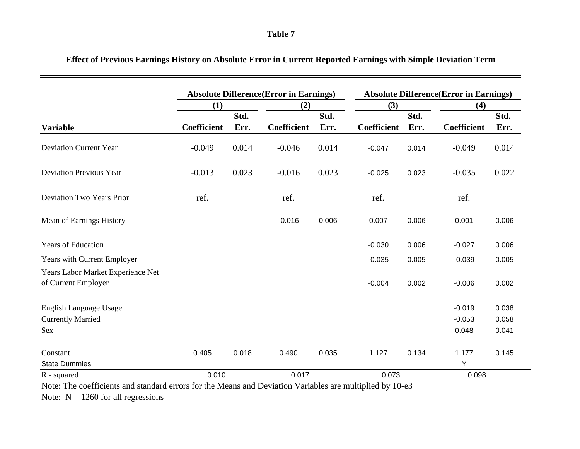### **Table 7**

|                                                          |             |       | <b>Absolute Difference (Error in Earnings)</b> |       | <b>Absolute Difference (Error in Earnings)</b> |       |             |       |  |  |
|----------------------------------------------------------|-------------|-------|------------------------------------------------|-------|------------------------------------------------|-------|-------------|-------|--|--|
|                                                          | (1)         |       | (2)                                            |       | (3)                                            |       | (4)         |       |  |  |
|                                                          |             | Std.  |                                                | Std.  |                                                | Std.  |             | Std.  |  |  |
| <b>Variable</b>                                          | Coefficient | Err.  | Coefficient                                    | Err.  | Coefficient                                    | Err.  | Coefficient | Err.  |  |  |
| <b>Deviation Current Year</b>                            | $-0.049$    | 0.014 | $-0.046$                                       | 0.014 | $-0.047$                                       | 0.014 | $-0.049$    | 0.014 |  |  |
| <b>Deviation Previous Year</b>                           | $-0.013$    | 0.023 | $-0.016$                                       | 0.023 | $-0.025$                                       | 0.023 | $-0.035$    | 0.022 |  |  |
| Deviation Two Years Prior                                | ref.        |       | ref.                                           |       | ref.                                           |       | ref.        |       |  |  |
| Mean of Earnings History                                 |             |       | $-0.016$                                       | 0.006 | 0.007                                          | 0.006 | 0.001       | 0.006 |  |  |
| <b>Years of Education</b>                                |             |       |                                                |       | $-0.030$                                       | 0.006 | $-0.027$    | 0.006 |  |  |
| Years with Current Employer                              |             |       |                                                |       | $-0.035$                                       | 0.005 | $-0.039$    | 0.005 |  |  |
| Years Labor Market Experience Net<br>of Current Employer |             |       |                                                |       | $-0.004$                                       | 0.002 | $-0.006$    | 0.002 |  |  |
| English Language Usage                                   |             |       |                                                |       |                                                |       | $-0.019$    | 0.038 |  |  |
| <b>Currently Married</b>                                 |             |       |                                                |       |                                                |       | $-0.053$    | 0.058 |  |  |
| Sex                                                      |             |       |                                                |       |                                                |       | 0.048       | 0.041 |  |  |
| Constant                                                 | 0.405       | 0.018 | 0.490                                          | 0.035 | 1.127                                          | 0.134 | 1.177       | 0.145 |  |  |
| <b>State Dummies</b>                                     |             |       |                                                |       |                                                |       | Υ           |       |  |  |
| R - squared                                              | 0.010       |       | 0.017                                          |       | 0.073                                          |       | 0.098       |       |  |  |

# **Effect of Previous Earnings History on Absolute Error in Current Reported Earnings with Simple Deviation Term**

Note: The coefficients and standard errors for the Means and Deviation Variables are multiplied by 10-e3

Note:  $N = 1260$  for all regressions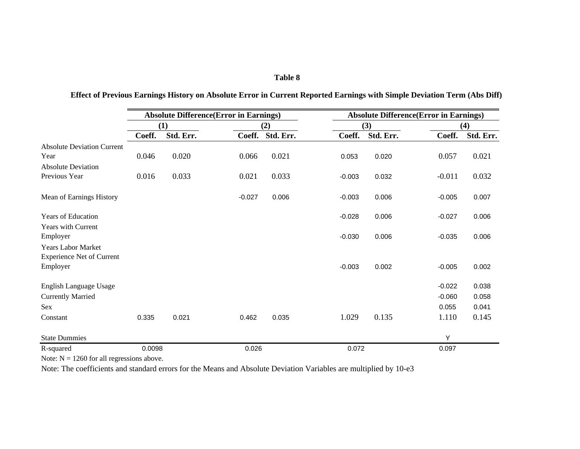#### **Table 8**

|                                                               |        | <b>Absolute Difference (Error in Earnings)</b> |          |           | <b>Absolute Difference (Error in Earnings)</b> |           |          |           |  |  |  |
|---------------------------------------------------------------|--------|------------------------------------------------|----------|-----------|------------------------------------------------|-----------|----------|-----------|--|--|--|
|                                                               |        | (1)                                            |          | (2)       |                                                | (3)       |          | (4)       |  |  |  |
|                                                               | Coeff. | Std. Err.                                      | Coeff.   | Std. Err. | Coeff.                                         | Std. Err. | Coeff.   | Std. Err. |  |  |  |
| <b>Absolute Deviation Current</b>                             |        |                                                |          |           |                                                |           |          |           |  |  |  |
| Year                                                          | 0.046  | 0.020                                          | 0.066    | 0.021     | 0.053                                          | 0.020     | 0.057    | 0.021     |  |  |  |
| <b>Absolute Deviation</b>                                     |        |                                                |          |           |                                                |           |          |           |  |  |  |
| Previous Year                                                 | 0.016  | 0.033                                          | 0.021    | 0.033     | $-0.003$                                       | 0.032     | $-0.011$ | 0.032     |  |  |  |
| Mean of Earnings History                                      |        |                                                | $-0.027$ | 0.006     | $-0.003$                                       | 0.006     | $-0.005$ | 0.007     |  |  |  |
| Years of Education                                            |        |                                                |          |           | $-0.028$                                       | 0.006     | $-0.027$ | 0.006     |  |  |  |
| <b>Years with Current</b><br>Employer                         |        |                                                |          |           | $-0.030$                                       | 0.006     | $-0.035$ | 0.006     |  |  |  |
| <b>Years Labor Market</b><br><b>Experience Net of Current</b> |        |                                                |          |           |                                                |           |          |           |  |  |  |
| Employer                                                      |        |                                                |          |           | $-0.003$                                       | 0.002     | $-0.005$ | 0.002     |  |  |  |
| English Language Usage                                        |        |                                                |          |           |                                                |           | $-0.022$ | 0.038     |  |  |  |
| <b>Currently Married</b>                                      |        |                                                |          |           |                                                |           | $-0.060$ | 0.058     |  |  |  |
| Sex                                                           |        |                                                |          |           |                                                |           | 0.055    | 0.041     |  |  |  |
| Constant                                                      | 0.335  | 0.021                                          | 0.462    | 0.035     | 1.029                                          | 0.135     | 1.110    | 0.145     |  |  |  |
| <b>State Dummies</b>                                          |        |                                                |          |           |                                                |           | Y        |           |  |  |  |
| R-squared                                                     | 0.0098 |                                                | 0.026    |           | 0.072                                          |           | 0.097    |           |  |  |  |

# **Effect of Previous Earnings History on Absolute Error in Current Reported Earnings with Simple Deviation Term (Abs Diff)**

Note:  $N = 1260$  for all regressions above.

Note: The coefficients and standard errors for the Means and Absolute Deviation Variables are multiplied by 10-e3